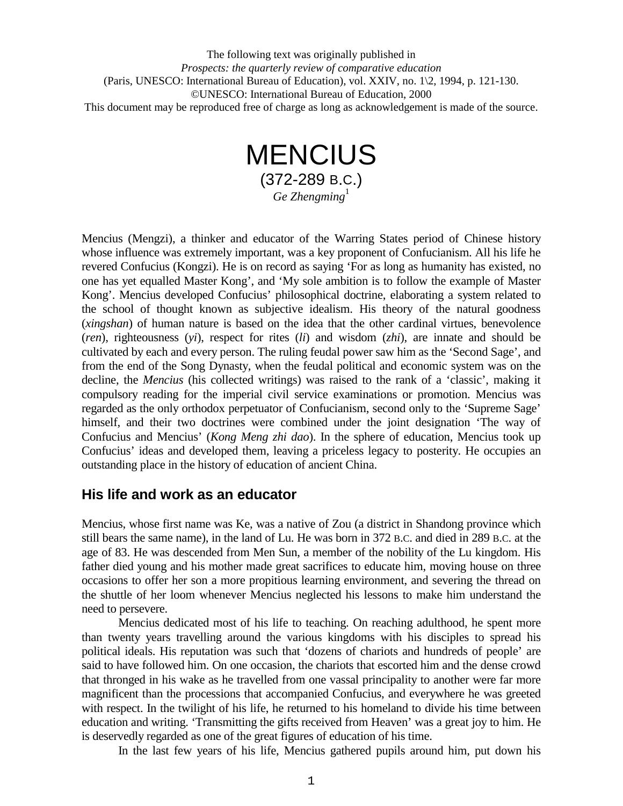The following text was originally published in *Prospects: the quarterly review of comparative education* (Paris, UNESCO: International Bureau of Education), vol. XXIV, no. 1\2, 1994, p. 121-130. ©UNESCO: International Bureau of Education, 2000 This document may be reproduced free of charge as long as acknowledgement is made of the source.

# **MENCIUS** (372-289 B.C.)  $Ge\,Zhengming<sup>1</sup>$

Mencius (Mengzi), a thinker and educator of the Warring States period of Chinese history whose influence was extremely important, was a key proponent of Confucianism. All his life he revered Confucius (Kongzi). He is on record as saying 'For as long as humanity has existed, no one has yet equalled Master Kong', and 'My sole ambition is to follow the example of Master Kong'. Mencius developed Confucius' philosophical doctrine, elaborating a system related to the school of thought known as subjective idealism. His theory of the natural goodness (*xingshan*) of human nature is based on the idea that the other cardinal virtues, benevolence (*ren*), righteousness (*yi*), respect for rites (*li*) and wisdom (*zhi*), are innate and should be cultivated by each and every person. The ruling feudal power saw him as the 'Second Sage', and from the end of the Song Dynasty, when the feudal political and economic system was on the decline, the *Mencius* (his collected writings) was raised to the rank of a 'classic', making it compulsory reading for the imperial civil service examinations or promotion. Mencius was regarded as the only orthodox perpetuator of Confucianism, second only to the 'Supreme Sage' himself, and their two doctrines were combined under the joint designation 'The way of Confucius and Mencius' (*Kong Meng zhi dao*). In the sphere of education, Mencius took up Confucius' ideas and developed them, leaving a priceless legacy to posterity. He occupies an outstanding place in the history of education of ancient China.

### **His life and work as an educator**

Mencius, whose first name was Ke, was a native of Zou (a district in Shandong province which still bears the same name), in the land of Lu. He was born in 372 B.C. and died in 289 B.C. at the age of 83. He was descended from Men Sun, a member of the nobility of the Lu kingdom. His father died young and his mother made great sacrifices to educate him, moving house on three occasions to offer her son a more propitious learning environment, and severing the thread on the shuttle of her loom whenever Mencius neglected his lessons to make him understand the need to persevere.

Mencius dedicated most of his life to teaching. On reaching adulthood, he spent more than twenty years travelling around the various kingdoms with his disciples to spread his political ideals. His reputation was such that 'dozens of chariots and hundreds of people' are said to have followed him. On one occasion, the chariots that escorted him and the dense crowd that thronged in his wake as he travelled from one vassal principality to another were far more magnificent than the processions that accompanied Confucius, and everywhere he was greeted with respect. In the twilight of his life, he returned to his homeland to divide his time between education and writing. 'Transmitting the gifts received from Heaven' was a great joy to him. He is deservedly regarded as one of the great figures of education of his time.

In the last few years of his life, Mencius gathered pupils around him, put down his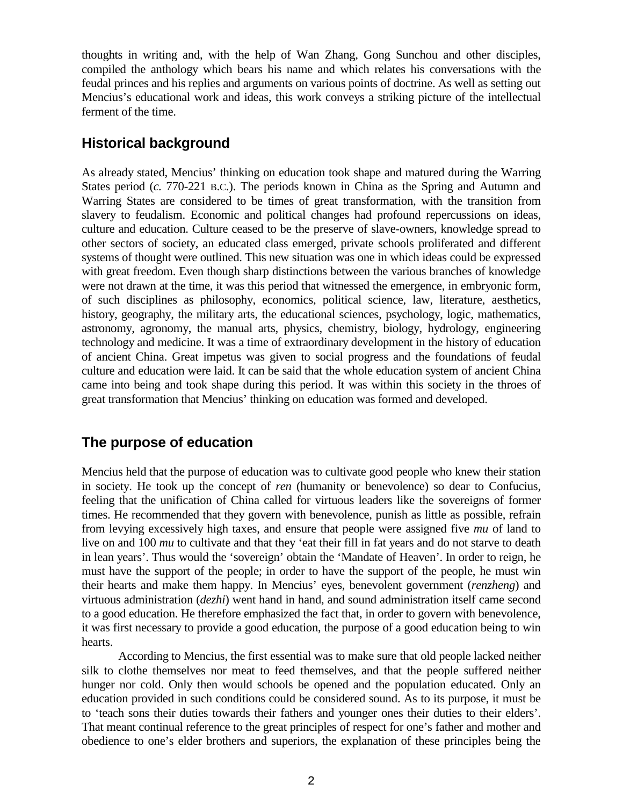thoughts in writing and, with the help of Wan Zhang, Gong Sunchou and other disciples, compiled the anthology which bears his name and which relates his conversations with the feudal princes and his replies and arguments on various points of doctrine. As well as setting out Mencius's educational work and ideas, this work conveys a striking picture of the intellectual ferment of the time.

# **Historical background**

As already stated, Mencius' thinking on education took shape and matured during the Warring States period (*c.* 770-221 B.C.). The periods known in China as the Spring and Autumn and Warring States are considered to be times of great transformation, with the transition from slavery to feudalism. Economic and political changes had profound repercussions on ideas, culture and education. Culture ceased to be the preserve of slave-owners, knowledge spread to other sectors of society, an educated class emerged, private schools proliferated and different systems of thought were outlined. This new situation was one in which ideas could be expressed with great freedom. Even though sharp distinctions between the various branches of knowledge were not drawn at the time, it was this period that witnessed the emergence, in embryonic form, of such disciplines as philosophy, economics, political science, law, literature, aesthetics, history, geography, the military arts, the educational sciences, psychology, logic, mathematics, astronomy, agronomy, the manual arts, physics, chemistry, biology, hydrology, engineering technology and medicine. It was a time of extraordinary development in the history of education of ancient China. Great impetus was given to social progress and the foundations of feudal culture and education were laid. It can be said that the whole education system of ancient China came into being and took shape during this period. It was within this society in the throes of great transformation that Mencius' thinking on education was formed and developed.

## **The purpose of education**

Mencius held that the purpose of education was to cultivate good people who knew their station in society. He took up the concept of *ren* (humanity or benevolence) so dear to Confucius, feeling that the unification of China called for virtuous leaders like the sovereigns of former times. He recommended that they govern with benevolence, punish as little as possible, refrain from levying excessively high taxes, and ensure that people were assigned five *mu* of land to live on and 100 *mu* to cultivate and that they 'eat their fill in fat years and do not starve to death in lean years'. Thus would the 'sovereign' obtain the 'Mandate of Heaven'. In order to reign, he must have the support of the people; in order to have the support of the people, he must win their hearts and make them happy. In Mencius' eyes, benevolent government (*renzheng*) and virtuous administration (*dezhi*) went hand in hand, and sound administration itself came second to a good education. He therefore emphasized the fact that, in order to govern with benevolence, it was first necessary to provide a good education, the purpose of a good education being to win hearts.

According to Mencius, the first essential was to make sure that old people lacked neither silk to clothe themselves nor meat to feed themselves, and that the people suffered neither hunger nor cold. Only then would schools be opened and the population educated. Only an education provided in such conditions could be considered sound. As to its purpose, it must be to 'teach sons their duties towards their fathers and younger ones their duties to their elders'. That meant continual reference to the great principles of respect for one's father and mother and obedience to one's elder brothers and superiors, the explanation of these principles being the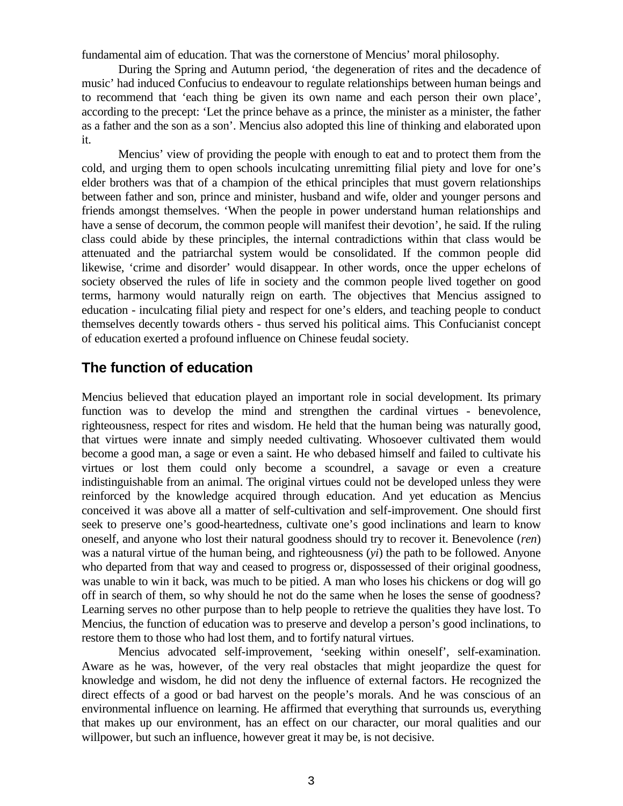fundamental aim of education. That was the cornerstone of Mencius' moral philosophy.

During the Spring and Autumn period, 'the degeneration of rites and the decadence of music' had induced Confucius to endeavour to regulate relationships between human beings and to recommend that 'each thing be given its own name and each person their own place', according to the precept: 'Let the prince behave as a prince, the minister as a minister, the father as a father and the son as a son'. Mencius also adopted this line of thinking and elaborated upon it.

Mencius' view of providing the people with enough to eat and to protect them from the cold, and urging them to open schools inculcating unremitting filial piety and love for one's elder brothers was that of a champion of the ethical principles that must govern relationships between father and son, prince and minister, husband and wife, older and younger persons and friends amongst themselves. 'When the people in power understand human relationships and have a sense of decorum, the common people will manifest their devotion', he said. If the ruling class could abide by these principles, the internal contradictions within that class would be attenuated and the patriarchal system would be consolidated. If the common people did likewise, 'crime and disorder' would disappear. In other words, once the upper echelons of society observed the rules of life in society and the common people lived together on good terms, harmony would naturally reign on earth. The objectives that Mencius assigned to education - inculcating filial piety and respect for one's elders, and teaching people to conduct themselves decently towards others - thus served his political aims. This Confucianist concept of education exerted a profound influence on Chinese feudal society.

# **The function of education**

Mencius believed that education played an important role in social development. Its primary function was to develop the mind and strengthen the cardinal virtues - benevolence, righteousness, respect for rites and wisdom. He held that the human being was naturally good, that virtues were innate and simply needed cultivating. Whosoever cultivated them would become a good man, a sage or even a saint. He who debased himself and failed to cultivate his virtues or lost them could only become a scoundrel, a savage or even a creature indistinguishable from an animal. The original virtues could not be developed unless they were reinforced by the knowledge acquired through education. And yet education as Mencius conceived it was above all a matter of self-cultivation and self-improvement. One should first seek to preserve one's good-heartedness, cultivate one's good inclinations and learn to know oneself, and anyone who lost their natural goodness should try to recover it. Benevolence (*ren*) was a natural virtue of the human being, and righteousness (*yi*) the path to be followed. Anyone who departed from that way and ceased to progress or, dispossessed of their original goodness, was unable to win it back, was much to be pitied. A man who loses his chickens or dog will go off in search of them, so why should he not do the same when he loses the sense of goodness? Learning serves no other purpose than to help people to retrieve the qualities they have lost. To Mencius, the function of education was to preserve and develop a person's good inclinations, to restore them to those who had lost them, and to fortify natural virtues.

Mencius advocated self-improvement, 'seeking within oneself', self-examination. Aware as he was, however, of the very real obstacles that might jeopardize the quest for knowledge and wisdom, he did not deny the influence of external factors. He recognized the direct effects of a good or bad harvest on the people's morals. And he was conscious of an environmental influence on learning. He affirmed that everything that surrounds us, everything that makes up our environment, has an effect on our character, our moral qualities and our willpower, but such an influence, however great it may be, is not decisive.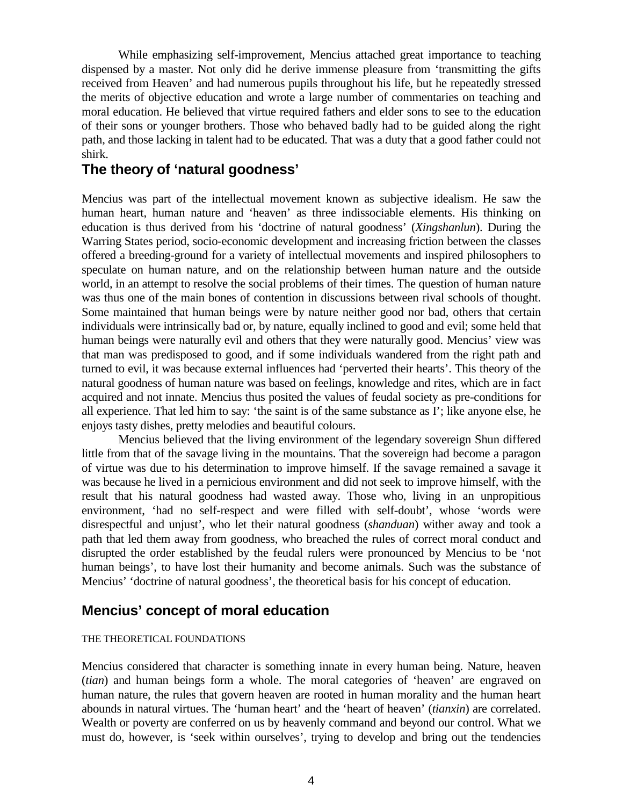While emphasizing self-improvement, Mencius attached great importance to teaching dispensed by a master. Not only did he derive immense pleasure from 'transmitting the gifts received from Heaven' and had numerous pupils throughout his life, but he repeatedly stressed the merits of objective education and wrote a large number of commentaries on teaching and moral education. He believed that virtue required fathers and elder sons to see to the education of their sons or younger brothers. Those who behaved badly had to be guided along the right path, and those lacking in talent had to be educated. That was a duty that a good father could not shirk.

# **The theory of 'natural goodness'**

Mencius was part of the intellectual movement known as subjective idealism. He saw the human heart, human nature and 'heaven' as three indissociable elements. His thinking on education is thus derived from his 'doctrine of natural goodness' (*Xingshanlun*). During the Warring States period, socio-economic development and increasing friction between the classes offered a breeding-ground for a variety of intellectual movements and inspired philosophers to speculate on human nature, and on the relationship between human nature and the outside world, in an attempt to resolve the social problems of their times. The question of human nature was thus one of the main bones of contention in discussions between rival schools of thought. Some maintained that human beings were by nature neither good nor bad, others that certain individuals were intrinsically bad or, by nature, equally inclined to good and evil; some held that human beings were naturally evil and others that they were naturally good. Mencius' view was that man was predisposed to good, and if some individuals wandered from the right path and turned to evil, it was because external influences had 'perverted their hearts'. This theory of the natural goodness of human nature was based on feelings, knowledge and rites, which are in fact acquired and not innate. Mencius thus posited the values of feudal society as pre-conditions for all experience. That led him to say: 'the saint is of the same substance as I'; like anyone else, he enjoys tasty dishes, pretty melodies and beautiful colours.

Mencius believed that the living environment of the legendary sovereign Shun differed little from that of the savage living in the mountains. That the sovereign had become a paragon of virtue was due to his determination to improve himself. If the savage remained a savage it was because he lived in a pernicious environment and did not seek to improve himself, with the result that his natural goodness had wasted away. Those who, living in an unpropitious environment, 'had no self-respect and were filled with self-doubt', whose 'words were disrespectful and unjust', who let their natural goodness (*shanduan*) wither away and took a path that led them away from goodness, who breached the rules of correct moral conduct and disrupted the order established by the feudal rulers were pronounced by Mencius to be 'not human beings', to have lost their humanity and become animals. Such was the substance of Mencius' 'doctrine of natural goodness', the theoretical basis for his concept of education.

## **Mencius' concept of moral education**

#### THE THEORETICAL FOUNDATIONS

Mencius considered that character is something innate in every human being. Nature, heaven (*tian*) and human beings form a whole. The moral categories of 'heaven' are engraved on human nature, the rules that govern heaven are rooted in human morality and the human heart abounds in natural virtues. The 'human heart' and the 'heart of heaven' (*tianxin*) are correlated. Wealth or poverty are conferred on us by heavenly command and beyond our control. What we must do, however, is 'seek within ourselves', trying to develop and bring out the tendencies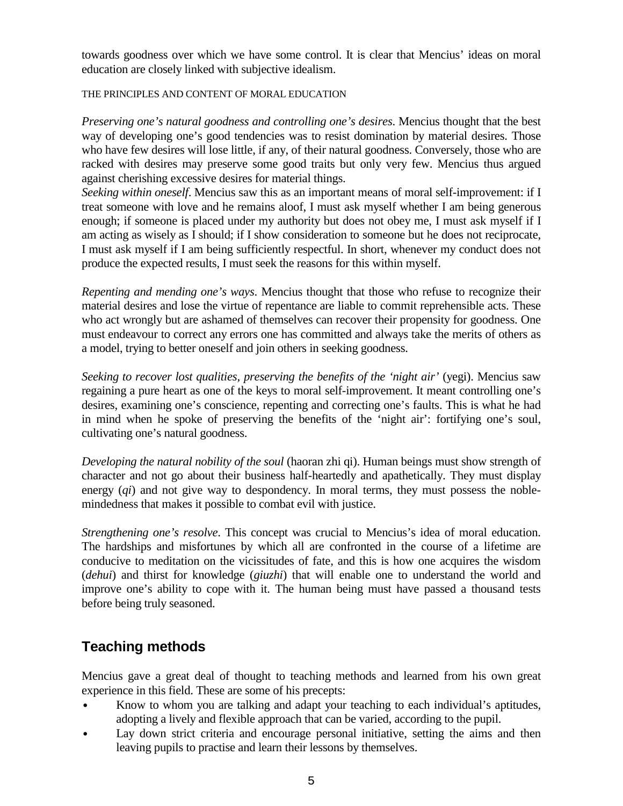towards goodness over which we have some control. It is clear that Mencius' ideas on moral education are closely linked with subjective idealism.

THE PRINCIPLES AND CONTENT OF MORAL EDUCATION

*Preserving one's natural goodness and controlling one's desires*. Mencius thought that the best way of developing one's good tendencies was to resist domination by material desires. Those who have few desires will lose little, if any, of their natural goodness. Conversely, those who are racked with desires may preserve some good traits but only very few. Mencius thus argued against cherishing excessive desires for material things.

*Seeking within oneself*. Mencius saw this as an important means of moral self-improvement: if I treat someone with love and he remains aloof, I must ask myself whether I am being generous enough; if someone is placed under my authority but does not obey me, I must ask myself if I am acting as wisely as I should; if I show consideration to someone but he does not reciprocate, I must ask myself if I am being sufficiently respectful. In short, whenever my conduct does not produce the expected results, I must seek the reasons for this within myself.

*Repenting and mending one's ways*. Mencius thought that those who refuse to recognize their material desires and lose the virtue of repentance are liable to commit reprehensible acts. These who act wrongly but are ashamed of themselves can recover their propensity for goodness. One must endeavour to correct any errors one has committed and always take the merits of others as a model, trying to better oneself and join others in seeking goodness.

*Seeking to recover lost qualities, preserving the benefits of the 'night air'* (yegi). Mencius saw regaining a pure heart as one of the keys to moral self-improvement. It meant controlling one's desires, examining one's conscience, repenting and correcting one's faults. This is what he had in mind when he spoke of preserving the benefits of the 'night air': fortifying one's soul, cultivating one's natural goodness.

*Developing the natural nobility of the soul* (haoran zhi qi). Human beings must show strength of character and not go about their business half-heartedly and apathetically. They must display energy (*qi*) and not give way to despondency. In moral terms, they must possess the noblemindedness that makes it possible to combat evil with justice.

*Strengthening one's resolve*. This concept was crucial to Mencius's idea of moral education. The hardships and misfortunes by which all are confronted in the course of a lifetime are conducive to meditation on the vicissitudes of fate, and this is how one acquires the wisdom (*dehui*) and thirst for knowledge (*giuzhi*) that will enable one to understand the world and improve one's ability to cope with it. The human being must have passed a thousand tests before being truly seasoned.

# **Teaching methods**

Mencius gave a great deal of thought to teaching methods and learned from his own great experience in this field. These are some of his precepts:

- Know to whom you are talking and adapt your teaching to each individual's aptitudes, adopting a lively and flexible approach that can be varied, according to the pupil.
- Lay down strict criteria and encourage personal initiative, setting the aims and then leaving pupils to practise and learn their lessons by themselves.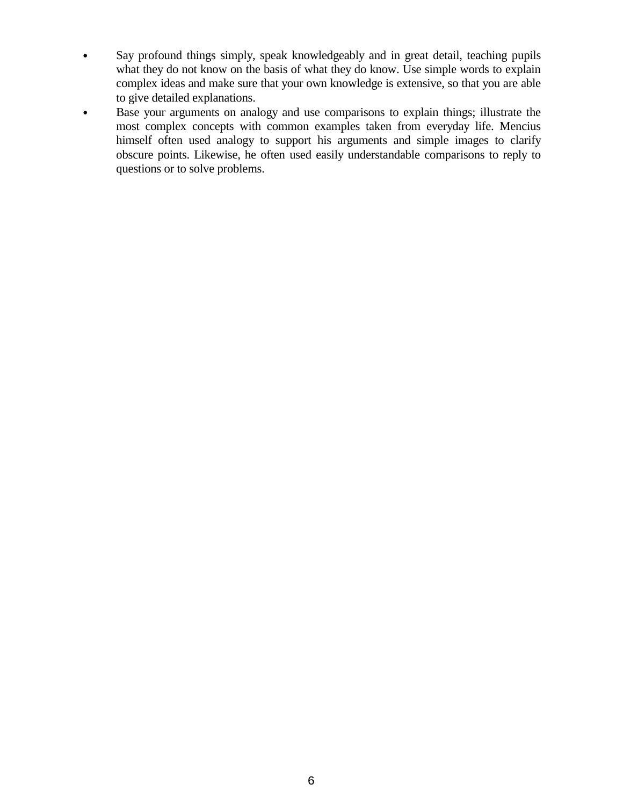- Say profound things simply, speak knowledgeably and in great detail, teaching pupils what they do not know on the basis of what they do know. Use simple words to explain complex ideas and make sure that your own knowledge is extensive, so that you are able to give detailed explanations.
- Base your arguments on analogy and use comparisons to explain things; illustrate the most complex concepts with common examples taken from everyday life. Mencius himself often used analogy to support his arguments and simple images to clarify obscure points. Likewise, he often used easily understandable comparisons to reply to questions or to solve problems.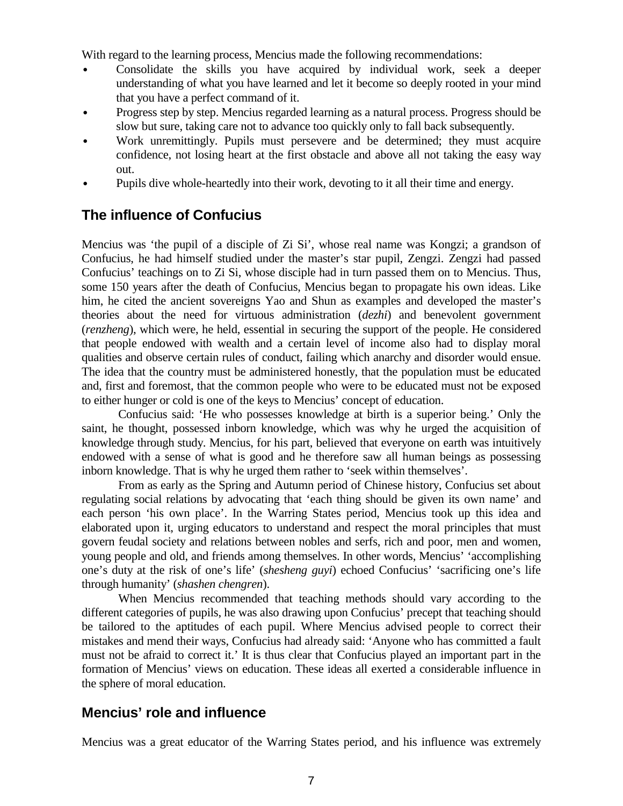With regard to the learning process, Mencius made the following recommendations:

- Consolidate the skills you have acquired by individual work, seek a deeper understanding of what you have learned and let it become so deeply rooted in your mind that you have a perfect command of it.
- Progress step by step. Mencius regarded learning as a natural process. Progress should be slow but sure, taking care not to advance too quickly only to fall back subsequently.
- Work unremittingly. Pupils must persevere and be determined; they must acquire confidence, not losing heart at the first obstacle and above all not taking the easy way out.
- Pupils dive whole-heartedly into their work, devoting to it all their time and energy.

# **The influence of Confucius**

Mencius was 'the pupil of a disciple of Zi Si', whose real name was Kongzi; a grandson of Confucius, he had himself studied under the master's star pupil, Zengzi. Zengzi had passed Confucius' teachings on to Zi Si, whose disciple had in turn passed them on to Mencius. Thus, some 150 years after the death of Confucius, Mencius began to propagate his own ideas. Like him, he cited the ancient sovereigns Yao and Shun as examples and developed the master's theories about the need for virtuous administration (*dezhi*) and benevolent government (*renzheng*), which were, he held, essential in securing the support of the people. He considered that people endowed with wealth and a certain level of income also had to display moral qualities and observe certain rules of conduct, failing which anarchy and disorder would ensue. The idea that the country must be administered honestly, that the population must be educated and, first and foremost, that the common people who were to be educated must not be exposed to either hunger or cold is one of the keys to Mencius' concept of education.

Confucius said: 'He who possesses knowledge at birth is a superior being.' Only the saint, he thought, possessed inborn knowledge, which was why he urged the acquisition of knowledge through study. Mencius, for his part, believed that everyone on earth was intuitively endowed with a sense of what is good and he therefore saw all human beings as possessing inborn knowledge. That is why he urged them rather to 'seek within themselves'.

From as early as the Spring and Autumn period of Chinese history, Confucius set about regulating social relations by advocating that 'each thing should be given its own name' and each person 'his own place'. In the Warring States period, Mencius took up this idea and elaborated upon it, urging educators to understand and respect the moral principles that must govern feudal society and relations between nobles and serfs, rich and poor, men and women, young people and old, and friends among themselves. In other words, Mencius' 'accomplishing one's duty at the risk of one's life' (*shesheng guyi*) echoed Confucius' 'sacrificing one's life through humanity' (*shashen chengren*).

When Mencius recommended that teaching methods should vary according to the different categories of pupils, he was also drawing upon Confucius' precept that teaching should be tailored to the aptitudes of each pupil. Where Mencius advised people to correct their mistakes and mend their ways, Confucius had already said: 'Anyone who has committed a fault must not be afraid to correct it.' It is thus clear that Confucius played an important part in the formation of Mencius' views on education. These ideas all exerted a considerable influence in the sphere of moral education.

# **Mencius' role and influence**

Mencius was a great educator of the Warring States period, and his influence was extremely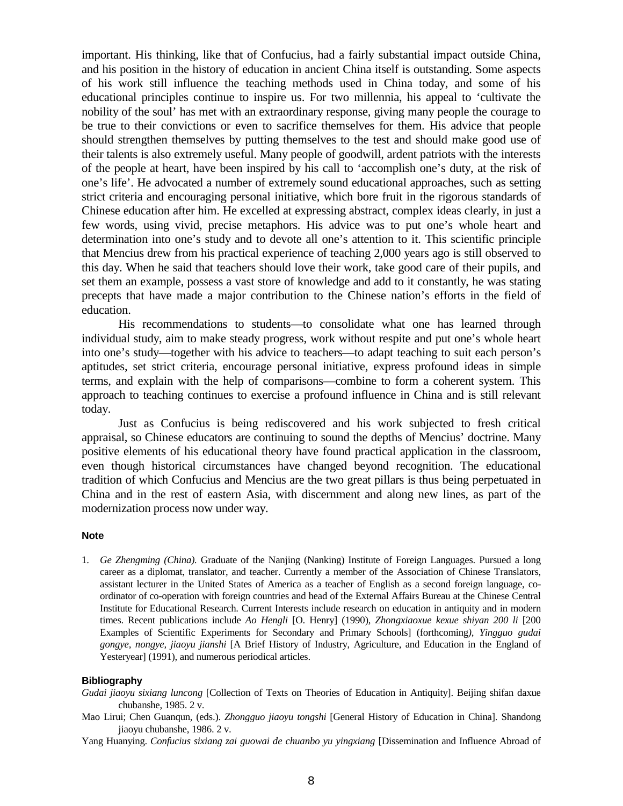important. His thinking, like that of Confucius, had a fairly substantial impact outside China, and his position in the history of education in ancient China itself is outstanding. Some aspects of his work still influence the teaching methods used in China today, and some of his educational principles continue to inspire us. For two millennia, his appeal to 'cultivate the nobility of the soul' has met with an extraordinary response, giving many people the courage to be true to their convictions or even to sacrifice themselves for them. His advice that people should strengthen themselves by putting themselves to the test and should make good use of their talents is also extremely useful. Many people of goodwill, ardent patriots with the interests of the people at heart, have been inspired by his call to 'accomplish one's duty, at the risk of one's life'. He advocated a number of extremely sound educational approaches, such as setting strict criteria and encouraging personal initiative, which bore fruit in the rigorous standards of Chinese education after him. He excelled at expressing abstract, complex ideas clearly, in just a few words, using vivid, precise metaphors. His advice was to put one's whole heart and determination into one's study and to devote all one's attention to it. This scientific principle that Mencius drew from his practical experience of teaching 2,000 years ago is still observed to this day. When he said that teachers should love their work, take good care of their pupils, and set them an example, possess a vast store of knowledge and add to it constantly, he was stating precepts that have made a major contribution to the Chinese nation's efforts in the field of education.

His recommendations to students—to consolidate what one has learned through individual study, aim to make steady progress, work without respite and put one's whole heart into one's study—together with his advice to teachers—to adapt teaching to suit each person's aptitudes, set strict criteria, encourage personal initiative, express profound ideas in simple terms, and explain with the help of comparisons—combine to form a coherent system. This approach to teaching continues to exercise a profound influence in China and is still relevant today.

Just as Confucius is being rediscovered and his work subjected to fresh critical appraisal, so Chinese educators are continuing to sound the depths of Mencius' doctrine. Many positive elements of his educational theory have found practical application in the classroom, even though historical circumstances have changed beyond recognition. The educational tradition of which Confucius and Mencius are the two great pillars is thus being perpetuated in China and in the rest of eastern Asia, with discernment and along new lines, as part of the modernization process now under way.

#### **Note**

1. *Ge Zhengming (China).* Graduate of the Nanjing (Nanking) Institute of Foreign Languages. Pursued a long career as a diplomat, translator, and teacher. Currently a member of the Association of Chinese Translators, assistant lecturer in the United States of America as a teacher of English as a second foreign language, coordinator of co-operation with foreign countries and head of the External Affairs Bureau at the Chinese Central Institute for Educational Research. Current Interests include research on education in antiquity and in modern times. Recent publications include *Ao Hengli* [O. Henry] (1990), *Zhongxiaoxue kexue shiyan 200 li* [200 Examples of Scientific Experiments for Secondary and Primary Schools] (forthcoming*), Yingguo gudai gongye, nongye, jiaoyu jianshi* [A Brief History of Industry, Agriculture, and Education in the England of Yesteryear] (1991), and numerous periodical articles.

#### **Bibliography**

- *Gudai jiaoyu sixiang luncong* [Collection of Texts on Theories of Education in Antiquity]. Beijing shifan daxue chubanshe, 1985. 2 v.
- Mao Lirui; Chen Guanqun, (eds.). *Zhongguo jiaoyu tongshi* [General History of Education in China]. Shandong jiaoyu chubanshe, 1986. 2 v.
- Yang Huanying. *Confucius sixiang zai guowai de chuanbo yu yingxiang* [Dissemination and Influence Abroad of